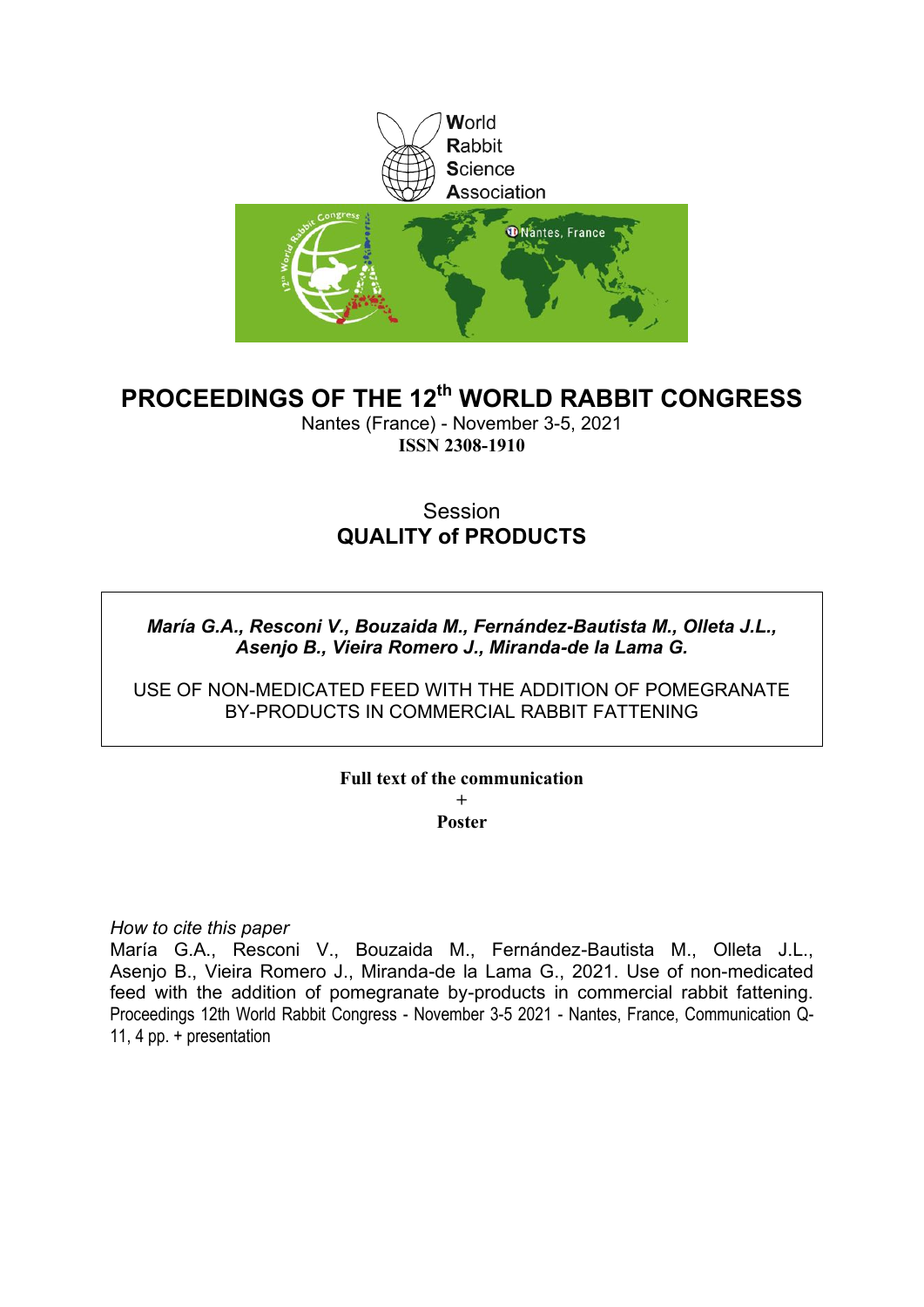

# **PROCEEDINGS OF THE 12th WORLD RABBIT CONGRESS**

Nantes (France) - November 3-5, 2021 **ISSN 2308-1910**

## Session **QUALITY of PRODUCTS**

### *María G.A., Resconi V., Bouzaida M., Fernández-Bautista M., Olleta J.L., Asenjo B., Vieira Romero J., Miranda-de la Lama G.*

USE OF NON-MEDICATED FEED WITH THE ADDITION OF POMEGRANATE BY-PRODUCTS IN COMMERCIAL RABBIT FATTENING

### **Full text of the communication + Poster**

*How to cite this paper*

María G.A., Resconi V., Bouzaida M., Fernández-Bautista M., Olleta J.L., Asenjo B., Vieira Romero J., Miranda-de la Lama G., 2021. Use of non-medicated feed with the addition of pomegranate by-products in commercial rabbit fattening. Proceedings 12th World Rabbit Congress - November 3-5 2021 - Nantes, France, Communication Q-11, 4 pp. + presentation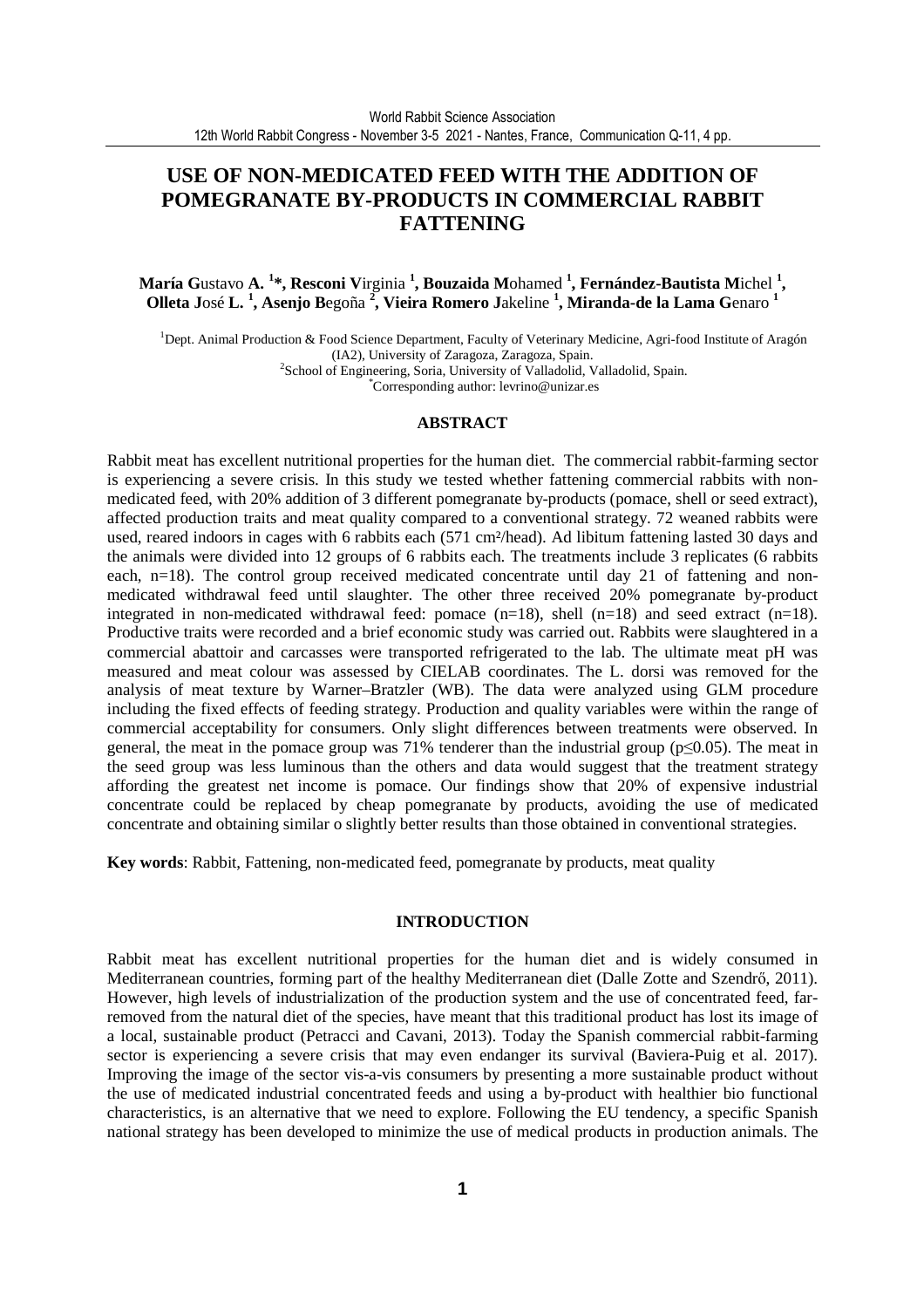### **USE OF NON-MEDICATED FEED WITH THE ADDITION OF POMEGRANATE BY-PRODUCTS IN COMMERCIAL RABBIT FATTENING**

#### **María G**ustavo **A. <sup>1</sup> \*, Resconi V**irginia **<sup>1</sup> , Bouzaida M**ohamed **<sup>1</sup> , Fernández-Bautista M**ichel **<sup>1</sup> , Olleta J**osé **L. <sup>1</sup> , Asenjo B**egoña **<sup>2</sup> , Vieira Romero J**akeline **<sup>1</sup> , Miranda-de la Lama G**enaro **<sup>1</sup>**

<sup>1</sup>Dept. Animal Production & Food Science Department, Faculty of Veterinary Medicine, Agri-food Institute of Aragón (IA2), University of Zaragoza, Zaragoza, Spain. <sup>2</sup>School of Engineering, Soria, University of Valladolid, Valladolid, Spain.

\*Corresponding author: levrino@unizar.es

#### **ABSTRACT**

Rabbit meat has excellent nutritional properties for the human diet. The commercial rabbit-farming sector is experiencing a severe crisis. In this study we tested whether fattening commercial rabbits with nonmedicated feed, with 20% addition of 3 different pomegranate by-products (pomace, shell or seed extract), affected production traits and meat quality compared to a conventional strategy. 72 weaned rabbits were used, reared indoors in cages with 6 rabbits each (571 cm²/head). Ad libitum fattening lasted 30 days and the animals were divided into 12 groups of 6 rabbits each. The treatments include 3 replicates (6 rabbits each, n=18). The control group received medicated concentrate until day 21 of fattening and nonmedicated withdrawal feed until slaughter. The other three received 20% pomegranate by-product integrated in non-medicated withdrawal feed: pomace  $(n=18)$ , shell  $(n=18)$  and seed extract  $(n=18)$ . Productive traits were recorded and a brief economic study was carried out. Rabbits were slaughtered in a commercial abattoir and carcasses were transported refrigerated to the lab. The ultimate meat pH was measured and meat colour was assessed by CIELAB coordinates. The L. dorsi was removed for the analysis of meat texture by Warner–Bratzler (WB). The data were analyzed using GLM procedure including the fixed effects of feeding strategy. Production and quality variables were within the range of commercial acceptability for consumers. Only slight differences between treatments were observed. In general, the meat in the pomace group was 71% tenderer than the industrial group (p≤0.05). The meat in the seed group was less luminous than the others and data would suggest that the treatment strategy affording the greatest net income is pomace. Our findings show that 20% of expensive industrial concentrate could be replaced by cheap pomegranate by products, avoiding the use of medicated concentrate and obtaining similar o slightly better results than those obtained in conventional strategies.

**Key words**: Rabbit, Fattening, non-medicated feed, pomegranate by products, meat quality

#### **INTRODUCTION**

Rabbit meat has excellent nutritional properties for the human diet and is widely consumed in Mediterranean countries, forming part of the healthy Mediterranean diet (Dalle Zotte and Szendrő, 2011). However, high levels of industrialization of the production system and the use of concentrated feed, farremoved from the natural diet of the species, have meant that this traditional product has lost its image of a local, sustainable product (Petracci and Cavani, 2013). Today the Spanish commercial rabbit-farming sector is experiencing a severe crisis that may even endanger its survival (Baviera-Puig et al. 2017). Improving the image of the sector vis-a-vis consumers by presenting a more sustainable product without the use of medicated industrial concentrated feeds and using a by-product with healthier bio functional characteristics, is an alternative that we need to explore. Following the EU tendency, a specific Spanish national strategy has been developed to minimize the use of medical products in production animals. The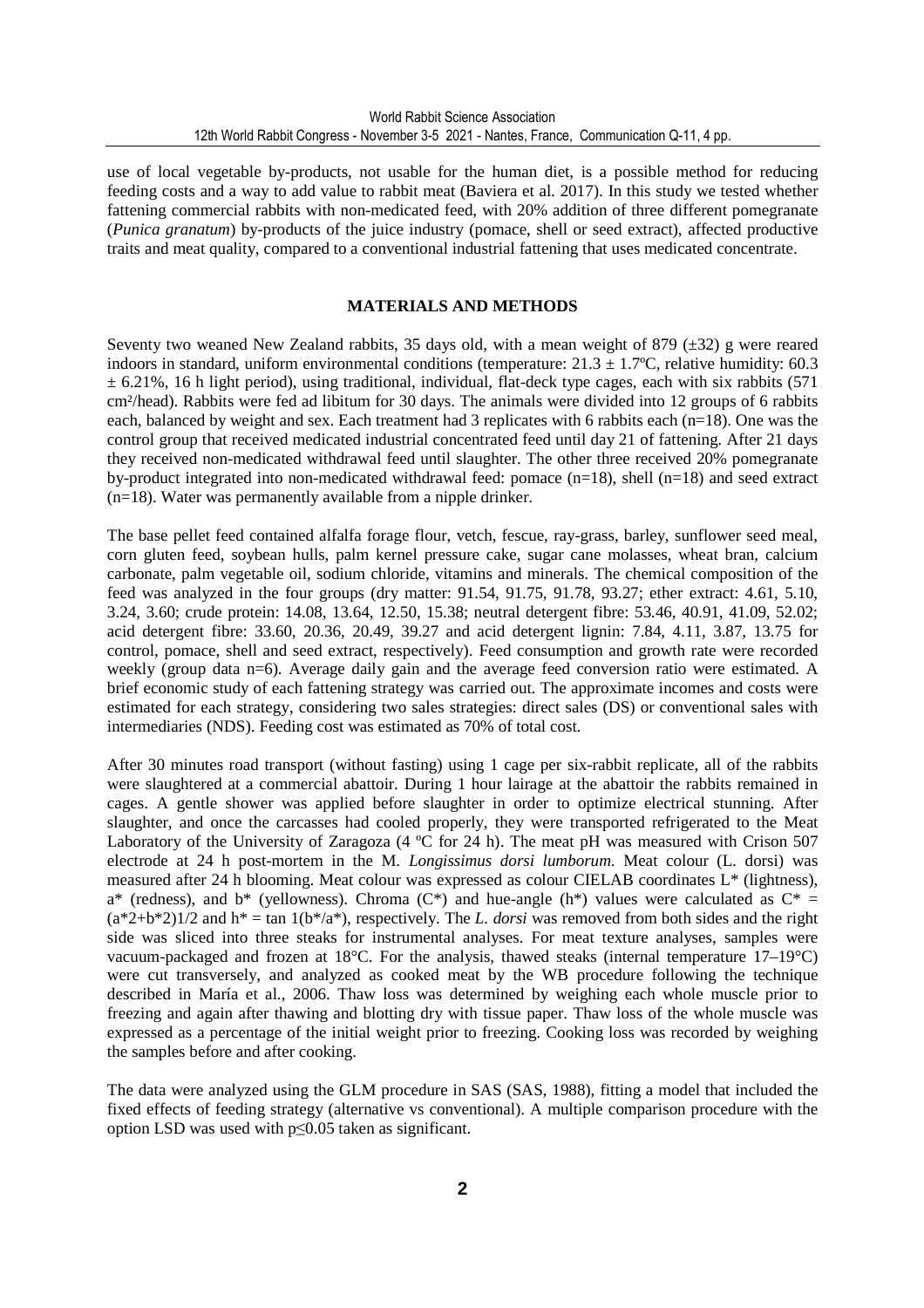use of local vegetable by-products, not usable for the human diet, is a possible method for reducing feeding costs and a way to add value to rabbit meat (Baviera et al. 2017). In this study we tested whether fattening commercial rabbits with non-medicated feed, with 20% addition of three different pomegranate (*Punica granatum*) by-products of the juice industry (pomace, shell or seed extract), affected productive traits and meat quality, compared to a conventional industrial fattening that uses medicated concentrate.

#### **MATERIALS AND METHODS**

Seventy two weaned New Zealand rabbits, 35 days old, with a mean weight of 879 ( $\pm$ 32) g were reared indoors in standard, uniform environmental conditions (temperature:  $21.3 \pm 1.7$ °C, relative humidity: 60.3  $\pm$  6.21%, 16 h light period), using traditional, individual, flat-deck type cages, each with six rabbits (571) cm²/head). Rabbits were fed ad libitum for 30 days. The animals were divided into 12 groups of 6 rabbits each, balanced by weight and sex. Each treatment had 3 replicates with 6 rabbits each (n=18). One was the control group that received medicated industrial concentrated feed until day 21 of fattening. After 21 days they received non-medicated withdrawal feed until slaughter. The other three received 20% pomegranate by-product integrated into non-medicated withdrawal feed: pomace (n=18), shell (n=18) and seed extract  $(n=18)$ . Water was permanently available from a nipple drinker.

The base pellet feed contained alfalfa forage flour, vetch, fescue, ray-grass, barley, sunflower seed meal, corn gluten feed, soybean hulls, palm kernel pressure cake, sugar cane molasses, wheat bran, calcium carbonate, palm vegetable oil, sodium chloride, vitamins and minerals. The chemical composition of the feed was analyzed in the four groups (dry matter: 91.54, 91.75, 91.78, 93.27; ether extract: 4.61, 5.10, 3.24, 3.60; crude protein: 14.08, 13.64, 12.50, 15.38; neutral detergent fibre: 53.46, 40.91, 41.09, 52.02; acid detergent fibre: 33.60, 20.36, 20.49, 39.27 and acid detergent lignin: 7.84, 4.11, 3.87, 13.75 for control, pomace, shell and seed extract, respectively). Feed consumption and growth rate were recorded weekly (group data n=6). Average daily gain and the average feed conversion ratio were estimated. A brief economic study of each fattening strategy was carried out. The approximate incomes and costs were estimated for each strategy, considering two sales strategies: direct sales (DS) or conventional sales with intermediaries (NDS). Feeding cost was estimated as 70% of total cost.

After 30 minutes road transport (without fasting) using 1 cage per six-rabbit replicate, all of the rabbits were slaughtered at a commercial abattoir. During 1 hour lairage at the abattoir the rabbits remained in cages. A gentle shower was applied before slaughter in order to optimize electrical stunning. After slaughter, and once the carcasses had cooled properly, they were transported refrigerated to the Meat Laboratory of the University of Zaragoza (4  $\degree$ C for 24 h). The meat pH was measured with Crison 507 electrode at 24 h post-mortem in the M. *Longissimus dorsi lumborum*. Meat colour (L. dorsi) was measured after 24 h blooming. Meat colour was expressed as colour CIELAB coordinates L\* (lightness),  $a^*$  (redness), and  $b^*$  (yellowness). Chroma (C\*) and hue-angle (h\*) values were calculated as  $C^*$  =  $(a*2+b*2)1/2$  and  $h* = \tan 1(b* a*)$ , respectively. The *L. dorsi* was removed from both sides and the right side was sliced into three steaks for instrumental analyses. For meat texture analyses, samples were vacuum-packaged and frozen at 18°C. For the analysis, thawed steaks (internal temperature 17–19°C) were cut transversely, and analyzed as cooked meat by the WB procedure following the technique described in María et al., 2006. Thaw loss was determined by weighing each whole muscle prior to freezing and again after thawing and blotting dry with tissue paper. Thaw loss of the whole muscle was expressed as a percentage of the initial weight prior to freezing. Cooking loss was recorded by weighing the samples before and after cooking.

The data were analyzed using the GLM procedure in SAS (SAS, 1988), fitting a model that included the fixed effects of feeding strategy (alternative vs conventional). A multiple comparison procedure with the option LSD was used with p≤0.05 taken as significant.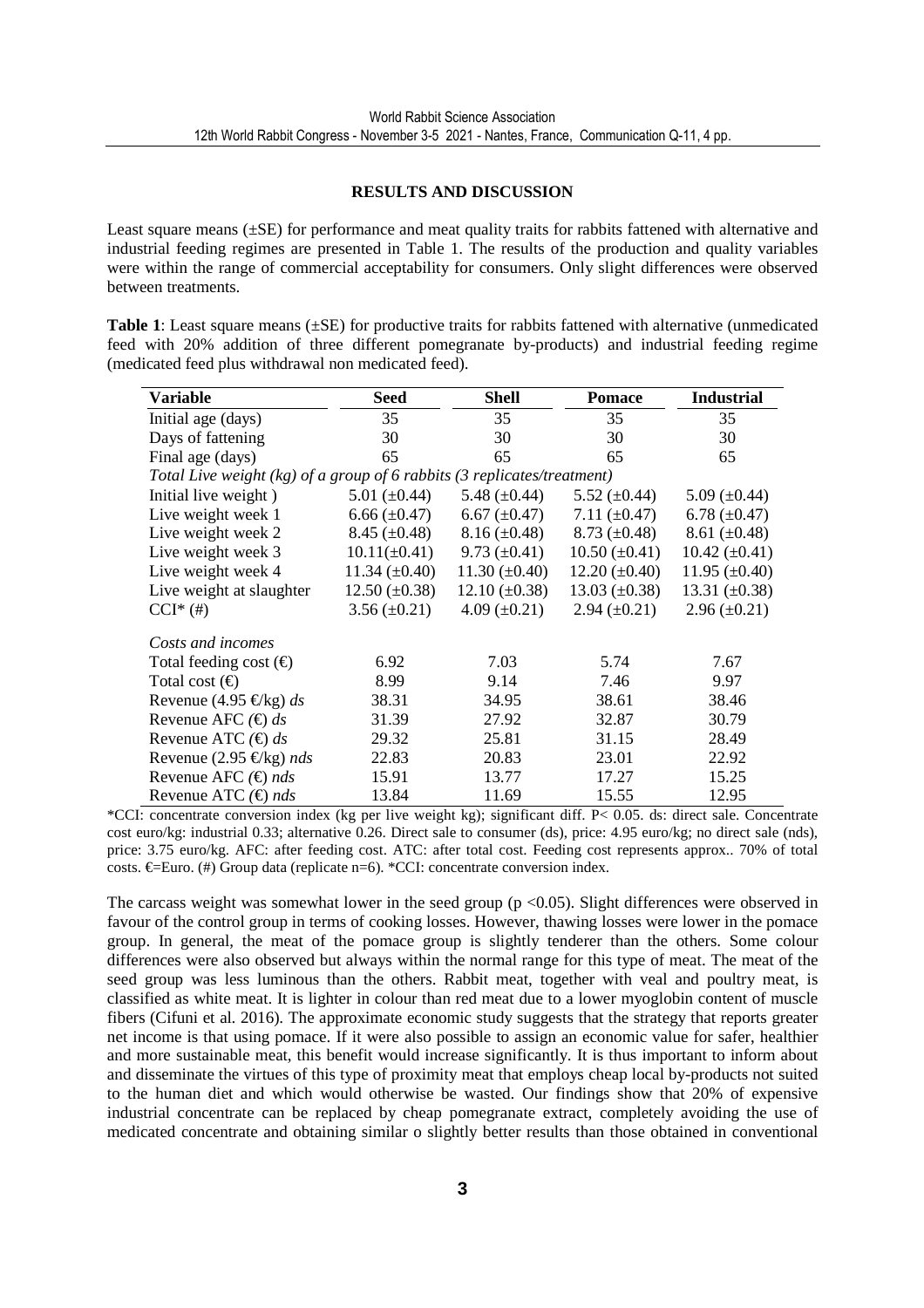#### **RESULTS AND DISCUSSION**

Least square means (±SE) for performance and meat quality traits for rabbits fattened with alternative and industrial feeding regimes are presented in Table 1. The results of the production and quality variables were within the range of commercial acceptability for consumers. Only slight differences were observed between treatments.

**Table 1**: Least square means (±SE) for productive traits for rabbits fattened with alternative (unmedicated feed with 20% addition of three different pomegranate by-products) and industrial feeding regime (medicated feed plus withdrawal non medicated feed).

| Variable                                                                | Seed                 | <b>Shell</b>        | <b>Pomace</b>        | <b>Industrial</b>   |  |  |  |  |
|-------------------------------------------------------------------------|----------------------|---------------------|----------------------|---------------------|--|--|--|--|
| Initial age (days)                                                      | 35                   | 35                  | 35                   | 35                  |  |  |  |  |
| Days of fattening                                                       | 30                   | 30                  | 30                   | 30                  |  |  |  |  |
| Final age (days)                                                        | 65                   | 65                  | 65                   | 65                  |  |  |  |  |
| Total Live weight (kg) of a group of 6 rabbits (3 replicates/treatment) |                      |                     |                      |                     |  |  |  |  |
| Initial live weight)                                                    | 5.01 $(\pm 0.44)$    | 5.48 $(\pm 0.44)$   | 5.52 $(\pm 0.44)$    | 5.09 $(\pm 0.44)$   |  |  |  |  |
| Live weight week 1                                                      | $6.66 \ (\pm 0.47)$  | 6.67 $(\pm 0.47)$   | 7.11 $(\pm 0.47)$    | 6.78 $(\pm 0.47)$   |  |  |  |  |
| Live weight week 2                                                      | $8.45 \ (\pm 0.48)$  | $8.16 (\pm 0.48)$   | $8.73 \ (\pm 0.48)$  | 8.61 $(\pm 0.48)$   |  |  |  |  |
| Live weight week 3                                                      | $10.11(\pm 0.41)$    | $9.73 \ (\pm 0.41)$ | $10.50 \ (\pm 0.41)$ | 10.42 $(\pm 0.41)$  |  |  |  |  |
| Live weight week 4                                                      | 11.34 $(\pm 0.40)$   | 11.30 $(\pm 0.40)$  | 12.20 $(\pm 0.40)$   | 11.95 $(\pm 0.40)$  |  |  |  |  |
| Live weight at slaughter                                                | $12.50 \ (\pm 0.38)$ | 12.10 $(\pm 0.38)$  | 13.03 $(\pm 0.38)$   | 13.31 $(\pm 0.38)$  |  |  |  |  |
| $CCI^*(\#)$                                                             | $3.56 \ (\pm 0.21)$  | $4.09 \ (\pm 0.21)$ | $2.94 \ (\pm 0.21)$  | $2.96 \ (\pm 0.21)$ |  |  |  |  |
| Costs and incomes                                                       |                      |                     |                      |                     |  |  |  |  |
| Total feeding cost $(\epsilon)$                                         | 6.92                 | 7.03                | 5.74                 | 7.67                |  |  |  |  |
| Total cost $(\epsilon)$                                                 | 8.99                 | 9.14                | 7.46                 | 9.97                |  |  |  |  |
| Revenue (4.95 €/kg) $ds$                                                | 38.31                | 34.95               | 38.61                | 38.46               |  |  |  |  |
| Revenue AFC $(€)$ <i>ds</i>                                             | 31.39                | 27.92               | 32.87                | 30.79               |  |  |  |  |
| Revenue ATC $(€)$ <i>ds</i>                                             | 29.32                | 25.81               | 31.15                | 28.49               |  |  |  |  |
| Revenue (2.95 €/kg) <i>nds</i>                                          | 22.83                | 20.83               | 23.01                | 22.92               |  |  |  |  |
| Revenue AFC $(€)$ nds                                                   | 15.91                | 13.77               | 17.27                | 15.25               |  |  |  |  |
| Revenue ATC $(€)$ nds                                                   | 13.84                | 11.69               | 15.55                | 12.95               |  |  |  |  |

\*CCI: concentrate conversion index (kg per live weight kg); significant diff. P< 0.05. ds: direct sale. Concentrate cost euro/kg: industrial 0.33; alternative 0.26. Direct sale to consumer (ds), price: 4.95 euro/kg; no direct sale (nds), price: 3.75 euro/kg. AFC: after feeding cost. ATC: after total cost. Feeding cost represents approx.. 70% of total costs.  $\epsilon$ =Euro. (#) Group data (replicate n=6). \*CCI concentrate conversion index.

The carcass weight was somewhat lower in the seed group  $(p \lt 0.05)$ . Slight differences were observed in favour of the control group in terms of cooking losses. However, thawing losses were lower in the pomace group. In general, the meat of the pomace group is slightly tenderer than the others. Some colour differences were also observed but always within the normal range for this type of meat. The meat of the seed group was less luminous than the others. Rabbit meat, together with veal and poultry meat, is classified as white meat. It is lighter in colour than red meat due to a lower myoglobin content of muscle fibers (Cifuni et al. 2016). The approximate economic study suggests that the strategy that reports greater net income is that using pomace. If it were also possible to assign an economic value for safer, healthier and more sustainable meat, this benefit would increase significantly. It is thus important to inform about and disseminate the virtues of this type of proximity meat that employs cheap local by-products not suited to the human diet and which would otherwise be wasted. Our findings show that 20% of expensive industrial concentrate can be replaced by cheap pomegranate extract, completely avoiding the use of medicated concentrate and obtaining similar o slightly better results than those obtained in conventional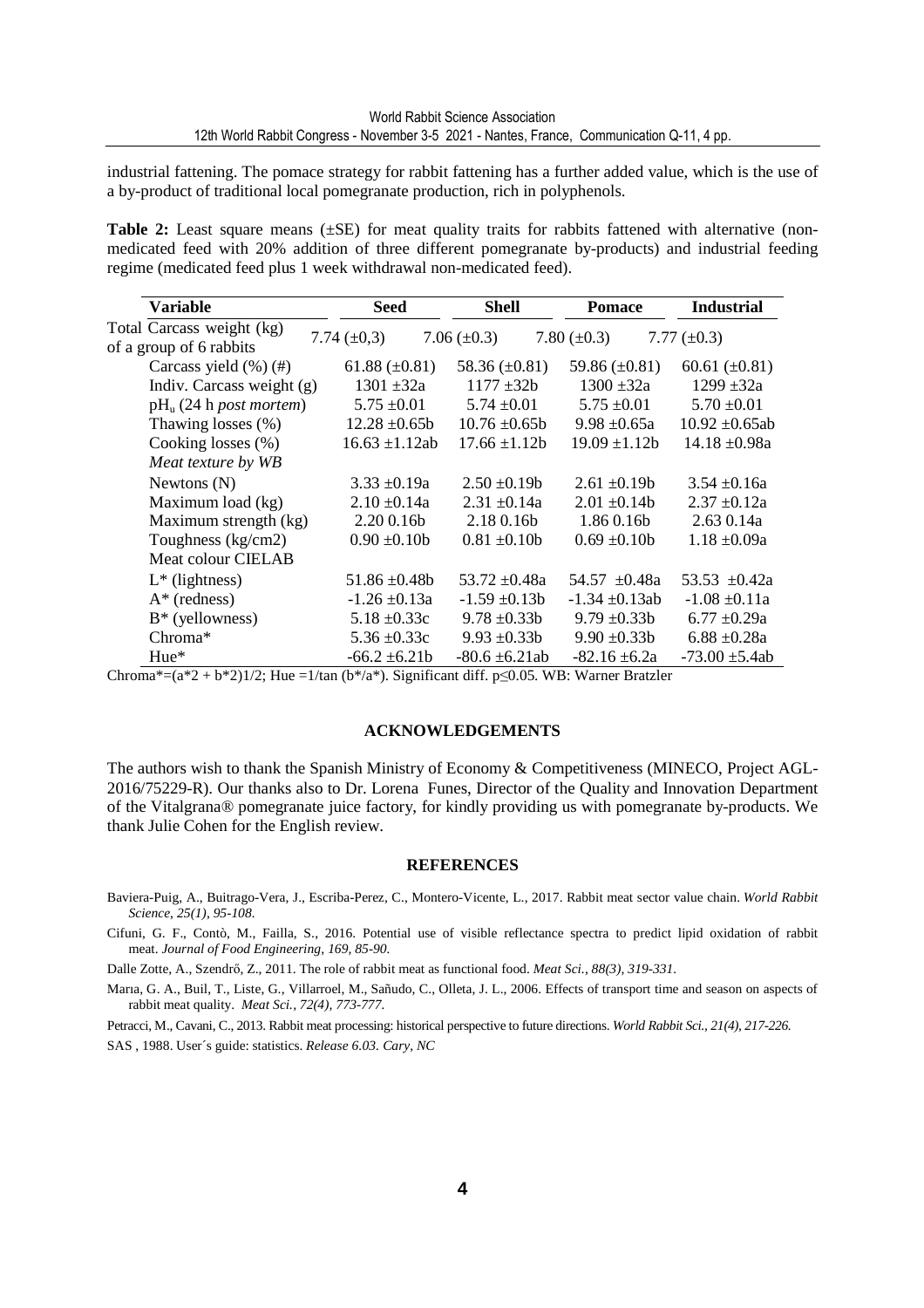industrial fattening. The pomace strategy for rabbit fattening has a further added value, which is the use of a by-product of traditional local pomegranate production, rich in polyphenols.

**Table 2:** Least square means ( $\pm$ SE) for meat quality traits for rabbits fattened with alternative (nonmedicated feed with 20% addition of three different pomegranate by-products) and industrial feeding regime (medicated feed plus 1 week withdrawal non-medicated feed).

| Variable                                             | <b>Seed</b>           | <b>Shell</b>       | <b>Pomace</b>      | <b>Industrial</b>   |
|------------------------------------------------------|-----------------------|--------------------|--------------------|---------------------|
| Total Carcass weight (kg)<br>of a group of 6 rabbits | 7.74 $(\pm 0.3)$      | 7.06 $(\pm 0.3)$   | 7.80 $(\pm 0.3)$   | 7.77 $(\pm 0.3)$    |
| Carcass yield $(\%)(\#)$                             | 61.88 $(\pm 0.81)$    | 58.36 $(\pm 0.81)$ | 59.86 $(\pm 0.81)$ | 60.61 $(\pm 0.81)$  |
| Indiv. Carcass weight $(g)$                          | $1301 \pm 32a$        | $1177 \pm 32b$     | $1300 \pm 32a$     | $1299 \pm 32a$      |
| $pH_u$ (24 h <i>post mortem</i> )                    | $5.75 \pm 0.01$       | $5.74 \pm 0.01$    | $5.75 \pm 0.01$    | $5.70 \pm 0.01$     |
| Thawing losses (%)                                   | $12.28 \pm 0.65b$     | $10.76 \pm 0.65$   | $9.98 \pm 0.65a$   | $10.92 \pm 0.65$ ab |
| Cooking losses (%)                                   | $16.63 \pm 1.12ab$    | $17.66 \pm 1.12$   | $19.09 \pm 1.12$   | $14.18 \pm 0.98a$   |
| Meat texture by WB                                   |                       |                    |                    |                     |
| Newtons $(N)$                                        | $3.33 \pm 0.19a$      | $2.50 \pm 0.19$    | $2.61 \pm 0.19$ h  | $3.54 \pm 0.16a$    |
| Maximum load (kg)                                    | $2.10 \pm 0.14a$      | $2.31 \pm 0.14a$   | $2.01 \pm 0.14$    | $2.37 \pm 0.12a$    |
| Maximum strength (kg)                                | 2.200.16 <sub>b</sub> | 2.18 0.16b         | 1.86 0.16b         | 2.63 0.14a          |
| Toughness (kg/cm2)                                   | $0.90 \pm 0.10b$      | $0.81 \pm 0.10b$   | $0.69 \pm 0.10b$   | $1.18 \pm 0.09a$    |
| Meat colour CIELAB                                   |                       |                    |                    |                     |
| $L^*$ (lightness)                                    | $51.86 \pm 0.48b$     | 53.72 ±0.48a       | 54.57 $\pm 0.48a$  | 53.53 $\pm 0.42a$   |
| $A^*$ (redness)                                      | $-1.26 \pm 0.13a$     | $-1.59 \pm 0.13b$  | $-1.34 \pm 0.13ab$ | $-1.08 \pm 0.11a$   |
| $B^*$ (yellowness)                                   | 5.18 $\pm 0.33c$      | $9.78 \pm 0.33b$   | $9.79 \pm 0.33b$   | $6.77 \pm 0.29a$    |
| $Chroma*$                                            | 5.36 $\pm 0.33c$      | $9.93 \pm 0.33b$   | $9.90 \pm 0.33b$   | $6.88 \pm 0.28a$    |
| $Hue*$                                               | $-66.2 \pm 6.21b$     | $-80.6 \pm 6.21ab$ | $-82.16 \pm 6.2a$  | $-73.00 \pm 5.4ab$  |

Chroma\*= $(a^2 + b^2)/2$ ; Hue =1/tan  $(b^2/a^*)$ . Significant diff. p<0.05. WB; Warner Bratzler

#### **ACKNOWLEDGEMENTS**

The authors wish to thank the Spanish Ministry of Economy & Competitiveness (MINECO, Project AGL-2016/75229-R). Our thanks also to Dr. Lorena Funes, Director of the Quality and Innovation Department of the Vitalgrana® pomegranate juice factory, for kindly providing us with pomegranate by-products. We thank Julie Cohen for the English review.

#### **REFERENCES**

- Baviera-Puig, A., Buitrago-Vera, J., Escriba-Perez, C., Montero-Vicente, L., 2017. Rabbit meat sector value chain. *World Rabbit Science, 25(1), 95-108.*
- Cifuni, G. F., Contò, M., Failla, S., 2016. Potential use of visible reflectance spectra to predict lipid oxidation of rabbit meat. *Journal of Food Engineering, 169, 85-90.*

Dalle Zotte, A., Szendrő, Z., 2011. The role of rabbit meat as functional food. *Meat Sci., 88(3), 319-331.*

Marıa, G. A., Buil, T., Liste, G., Villarroel, M., Sañudo, C., Olleta, J. L., 2006. Effects of transport time and season on aspects of rabbit meat quality. *Meat Sci., 72(4), 773-777.*

Petracci, M., Cavani, C., 2013. Rabbit meat processing: historical perspective to future directions. *World Rabbit Sci., 21(4), 217-226.* 

SAS , 1988. User´s guide: statistics. *Release 6.03. Cary, NC*